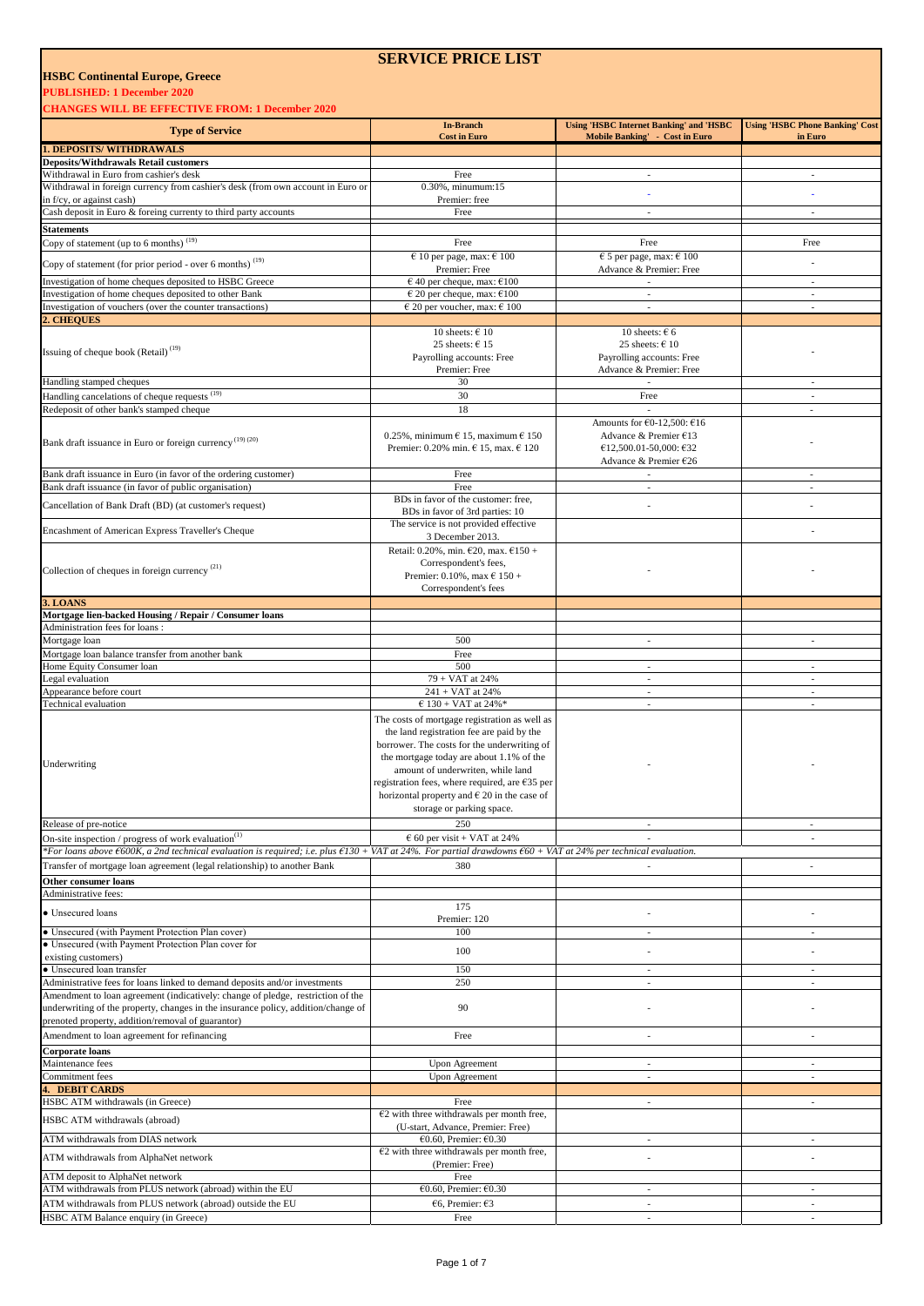#### **PUBLISHED: 1 December 2020**

**CHANGES WILL BE EFFECTIVE FROM: 1 December 2020** 

|                                                                                                                                                               | <b>In-Branch</b>                                                                                                                                                                                                                                                                                                                                               | <b>Using 'HSBC Internet Banking' and 'HSBC</b>                                                         | <b>Using 'HSBC Phone Banking' Cost</b>               |
|---------------------------------------------------------------------------------------------------------------------------------------------------------------|----------------------------------------------------------------------------------------------------------------------------------------------------------------------------------------------------------------------------------------------------------------------------------------------------------------------------------------------------------------|--------------------------------------------------------------------------------------------------------|------------------------------------------------------|
| <b>Type of Service</b>                                                                                                                                        | <b>Cost in Euro</b>                                                                                                                                                                                                                                                                                                                                            | Mobile Banking' - Cost in Euro                                                                         | in Euro                                              |
| <b>1. DEPOSITS/WITHDRAWALS</b>                                                                                                                                |                                                                                                                                                                                                                                                                                                                                                                |                                                                                                        |                                                      |
| <b>Deposits/Withdrawals Retail customers</b>                                                                                                                  |                                                                                                                                                                                                                                                                                                                                                                |                                                                                                        |                                                      |
| Withdrawal in Euro from cashier's desk                                                                                                                        | Free                                                                                                                                                                                                                                                                                                                                                           | $\sim$                                                                                                 | $\sim$                                               |
| Withdrawal in foreign currency from cashier's desk (from own account in Euro or<br>in f/cy, or against cash)                                                  | 0.30%, minumum:15<br>Premier: free                                                                                                                                                                                                                                                                                                                             |                                                                                                        |                                                      |
| Cash deposit in Euro & foreing currenty to third party accounts                                                                                               | Free                                                                                                                                                                                                                                                                                                                                                           | $\sim$                                                                                                 | $\sim$                                               |
| <b>Statements</b>                                                                                                                                             |                                                                                                                                                                                                                                                                                                                                                                |                                                                                                        |                                                      |
| Copy of statement (up to 6 months) <sup>(19)</sup>                                                                                                            | Free                                                                                                                                                                                                                                                                                                                                                           | Free                                                                                                   | Free                                                 |
|                                                                                                                                                               | $\in$ 10 per page, max: $\in$ 100                                                                                                                                                                                                                                                                                                                              | $\epsilon$ 5 per page, max: $\epsilon$ 100                                                             |                                                      |
| Copy of statement (for prior period - over 6 months) $(19)$                                                                                                   | Premier: Free                                                                                                                                                                                                                                                                                                                                                  | Advance & Premier: Free                                                                                |                                                      |
| Investigation of home cheques deposited to HSBC Greece                                                                                                        | $\epsilon$ 40 per cheque, max: $\epsilon$ 100                                                                                                                                                                                                                                                                                                                  | $\sim$                                                                                                 | $\sim$                                               |
| Investigation of home cheques deposited to other Bank                                                                                                         | $\epsilon$ 20 per cheque, max: $\epsilon$ 100                                                                                                                                                                                                                                                                                                                  | $\overline{\phantom{a}}$                                                                               | $\overline{\phantom{a}}$                             |
| Investigation of vouchers (over the counter transactions)                                                                                                     | $\in$ 20 per voucher, max: $\in$ 100                                                                                                                                                                                                                                                                                                                           |                                                                                                        |                                                      |
| 2. CHEQUES                                                                                                                                                    | 10 sheets: $\in$ 10                                                                                                                                                                                                                                                                                                                                            | 10 sheets: $66$                                                                                        |                                                      |
|                                                                                                                                                               | 25 sheets: $615$                                                                                                                                                                                                                                                                                                                                               | 25 sheets: $\epsilon$ 10                                                                               |                                                      |
| Issuing of cheque book (Retail) <sup>(19)</sup>                                                                                                               | Payrolling accounts: Free                                                                                                                                                                                                                                                                                                                                      | Payrolling accounts: Free                                                                              |                                                      |
|                                                                                                                                                               | Premier: Free                                                                                                                                                                                                                                                                                                                                                  | Advance & Premier: Free                                                                                |                                                      |
| Handling stamped cheques                                                                                                                                      | 30                                                                                                                                                                                                                                                                                                                                                             | $\sim$                                                                                                 | $\overline{\phantom{a}}$                             |
| Handling cancelations of cheque requests (19)                                                                                                                 | 30                                                                                                                                                                                                                                                                                                                                                             | Free                                                                                                   | $\overline{\phantom{a}}$                             |
| Redeposit of other bank's stamped cheque                                                                                                                      | 18                                                                                                                                                                                                                                                                                                                                                             |                                                                                                        | $\overline{\phantom{a}}$                             |
| Bank draft issuance in Euro or foreign currency <sup>(19)(20)</sup>                                                                                           | 0.25%, minimum $\epsilon$ 15, maximum $\epsilon$ 150<br>Premier: 0.20% min. € 15, max. € 120                                                                                                                                                                                                                                                                   | Amounts for €0-12,500: €16<br>Advance & Premier €13<br>€12,500.01-50,000: €32<br>Advance & Premier £26 |                                                      |
| Bank draft issuance in Euro (in favor of the ordering customer)                                                                                               | Free                                                                                                                                                                                                                                                                                                                                                           |                                                                                                        |                                                      |
| Bank draft issuance (in favor of public organisation)                                                                                                         | Free                                                                                                                                                                                                                                                                                                                                                           | $\sim$                                                                                                 | ÷.                                                   |
| Cancellation of Bank Draft (BD) (at customer's request)                                                                                                       | BDs in favor of the customer: free,                                                                                                                                                                                                                                                                                                                            | $\overline{\phantom{a}}$                                                                               |                                                      |
|                                                                                                                                                               | BDs in favor of 3rd parties: 10                                                                                                                                                                                                                                                                                                                                |                                                                                                        |                                                      |
| Encashment of American Express Traveller's Cheque                                                                                                             | The service is not provided effective<br>3 December 2013.                                                                                                                                                                                                                                                                                                      |                                                                                                        |                                                      |
|                                                                                                                                                               | Retail: $0.20\%$ , min. $\epsilon$ 20, max. $\epsilon$ 150 +                                                                                                                                                                                                                                                                                                   |                                                                                                        |                                                      |
| Collection of cheques in foreign currency <sup>(21)</sup>                                                                                                     | Correspondent's fees,<br>Premier: 0.10%, max $6$ 150 +<br>Correspondent's fees                                                                                                                                                                                                                                                                                 |                                                                                                        |                                                      |
| 3. LOANS                                                                                                                                                      |                                                                                                                                                                                                                                                                                                                                                                |                                                                                                        |                                                      |
| Mortgage lien-backed Housing / Repair / Consumer loans                                                                                                        |                                                                                                                                                                                                                                                                                                                                                                |                                                                                                        |                                                      |
| Administration fees for loans:                                                                                                                                |                                                                                                                                                                                                                                                                                                                                                                |                                                                                                        |                                                      |
| Mortgage loan                                                                                                                                                 | 500                                                                                                                                                                                                                                                                                                                                                            | $\overline{\phantom{a}}$                                                                               | $\overline{\phantom{a}}$                             |
| Mortgage loan balance transfer from another bank<br>Home Equity Consumer loan                                                                                 | Free<br>500                                                                                                                                                                                                                                                                                                                                                    | $\overline{\phantom{a}}$                                                                               | $\overline{\phantom{a}}$                             |
| Legal evaluation                                                                                                                                              | 79 + VAT at 24%                                                                                                                                                                                                                                                                                                                                                | $\overline{\phantom{a}}$                                                                               | $\overline{a}$                                       |
| Appearance before court                                                                                                                                       | 241 + VAT at 24%                                                                                                                                                                                                                                                                                                                                               | $\mathcal{L}_{\mathcal{A}}$                                                                            | $\sim$                                               |
| Technical evaluation                                                                                                                                          | $6$ 130 + VAT at 24%*                                                                                                                                                                                                                                                                                                                                          | $\overline{\phantom{a}}$                                                                               | $\overline{\phantom{a}}$                             |
| Underwriting                                                                                                                                                  | The costs of mortgage registration as well as<br>the land registration fee are paid by the<br>borrower. The costs for the underwriting of<br>the mortgage today are about 1.1% of the<br>amount of underwriten, while land<br>registration fees, where required, are $635$ per<br>horizontal property and $\in$ 20 in the case of<br>storage or parking space. |                                                                                                        |                                                      |
| Release of pre-notice                                                                                                                                         | 250                                                                                                                                                                                                                                                                                                                                                            | $\overline{\phantom{a}}$                                                                               | $\sim$                                               |
| On-site inspection / progress of work evaluation <sup>(1)</sup>                                                                                               | $60$ per visit + VAT at 24%                                                                                                                                                                                                                                                                                                                                    |                                                                                                        |                                                      |
| *For loans above €600K, a 2nd technical evaluation is required; i.e. plus €130 + VAT at 24%. For partial drawdowns €60 + VAT at 24% per technical evaluation. |                                                                                                                                                                                                                                                                                                                                                                |                                                                                                        |                                                      |
| Transfer of mortgage loan agreement (legal relationship) to another Bank                                                                                      | 380                                                                                                                                                                                                                                                                                                                                                            |                                                                                                        | ÷,                                                   |
| Other consumer loans<br>Administrative fees:                                                                                                                  |                                                                                                                                                                                                                                                                                                                                                                |                                                                                                        |                                                      |
|                                                                                                                                                               | 175                                                                                                                                                                                                                                                                                                                                                            |                                                                                                        |                                                      |
| • Unsecured loans                                                                                                                                             | Premier: 120                                                                                                                                                                                                                                                                                                                                                   |                                                                                                        |                                                      |
| • Unsecured (with Payment Protection Plan cover)                                                                                                              | 100                                                                                                                                                                                                                                                                                                                                                            | $\overline{a}$                                                                                         |                                                      |
| · Unsecured (with Payment Protection Plan cover for                                                                                                           | 100                                                                                                                                                                                                                                                                                                                                                            |                                                                                                        |                                                      |
| existing customers)                                                                                                                                           |                                                                                                                                                                                                                                                                                                                                                                |                                                                                                        |                                                      |
| · Unsecured loan transfer<br>Administrative fees for loans linked to demand deposits and/or investments                                                       | 150<br>250                                                                                                                                                                                                                                                                                                                                                     | ٠<br>$\overline{\phantom{a}}$                                                                          | $\overline{\phantom{a}}$<br>$\overline{\phantom{a}}$ |
| Amendment to loan agreement (indicatively: change of pledge, restriction of the                                                                               |                                                                                                                                                                                                                                                                                                                                                                |                                                                                                        |                                                      |
| underwriting of the property, changes in the insurance policy, addition/change of                                                                             | 90                                                                                                                                                                                                                                                                                                                                                             | $\overline{\phantom{a}}$                                                                               |                                                      |
| prenoted property, addition/removal of guarantor)                                                                                                             |                                                                                                                                                                                                                                                                                                                                                                |                                                                                                        |                                                      |
| Amendment to loan agreement for refinancing                                                                                                                   | Free                                                                                                                                                                                                                                                                                                                                                           | $\overline{\phantom{a}}$                                                                               | $\overline{\phantom{a}}$                             |
| Corporate loans                                                                                                                                               |                                                                                                                                                                                                                                                                                                                                                                |                                                                                                        |                                                      |
| Maintenance fees                                                                                                                                              | Upon Agreement                                                                                                                                                                                                                                                                                                                                                 | ٠                                                                                                      | ٠                                                    |
| Commitment fees                                                                                                                                               | Upon Agreement                                                                                                                                                                                                                                                                                                                                                 | $\overline{\phantom{a}}$                                                                               | $\overline{\phantom{a}}$                             |
| 4. DEBIT CARDS                                                                                                                                                |                                                                                                                                                                                                                                                                                                                                                                |                                                                                                        |                                                      |
| HSBC ATM withdrawals (in Greece)                                                                                                                              | Free<br>$E2$ with three withdrawals per month free,                                                                                                                                                                                                                                                                                                            | $\overline{\phantom{a}}$                                                                               | $\overline{\phantom{a}}$                             |
| HSBC ATM withdrawals (abroad)                                                                                                                                 | (U-start, Advance, Premier: Free)                                                                                                                                                                                                                                                                                                                              |                                                                                                        |                                                      |
| ATM withdrawals from DIAS network                                                                                                                             | €0.60, Premier: €0.30                                                                                                                                                                                                                                                                                                                                          | $\overline{\phantom{a}}$                                                                               | $\overline{\phantom{a}}$                             |
| ATM withdrawals from AlphaNet network                                                                                                                         | $E2$ with three withdrawals per month free,                                                                                                                                                                                                                                                                                                                    | $\overline{\phantom{a}}$                                                                               |                                                      |
|                                                                                                                                                               | (Premier: Free)                                                                                                                                                                                                                                                                                                                                                |                                                                                                        |                                                      |
| ATM deposit to AlphaNet network<br>ATM withdrawals from PLUS network (abroad) within the EU                                                                   | Free<br>€0.60, Premier: €0.30                                                                                                                                                                                                                                                                                                                                  | ٠                                                                                                      | ٠                                                    |
| ATM withdrawals from PLUS network (abroad) outside the EU                                                                                                     | €6, Premier: €3                                                                                                                                                                                                                                                                                                                                                | $\overline{\phantom{a}}$                                                                               | $\overline{\phantom{a}}$                             |
| HSBC ATM Balance enquiry (in Greece)                                                                                                                          | Free                                                                                                                                                                                                                                                                                                                                                           | $\overline{\phantom{a}}$                                                                               |                                                      |
|                                                                                                                                                               |                                                                                                                                                                                                                                                                                                                                                                |                                                                                                        |                                                      |

**SERVICE PRICE LIST**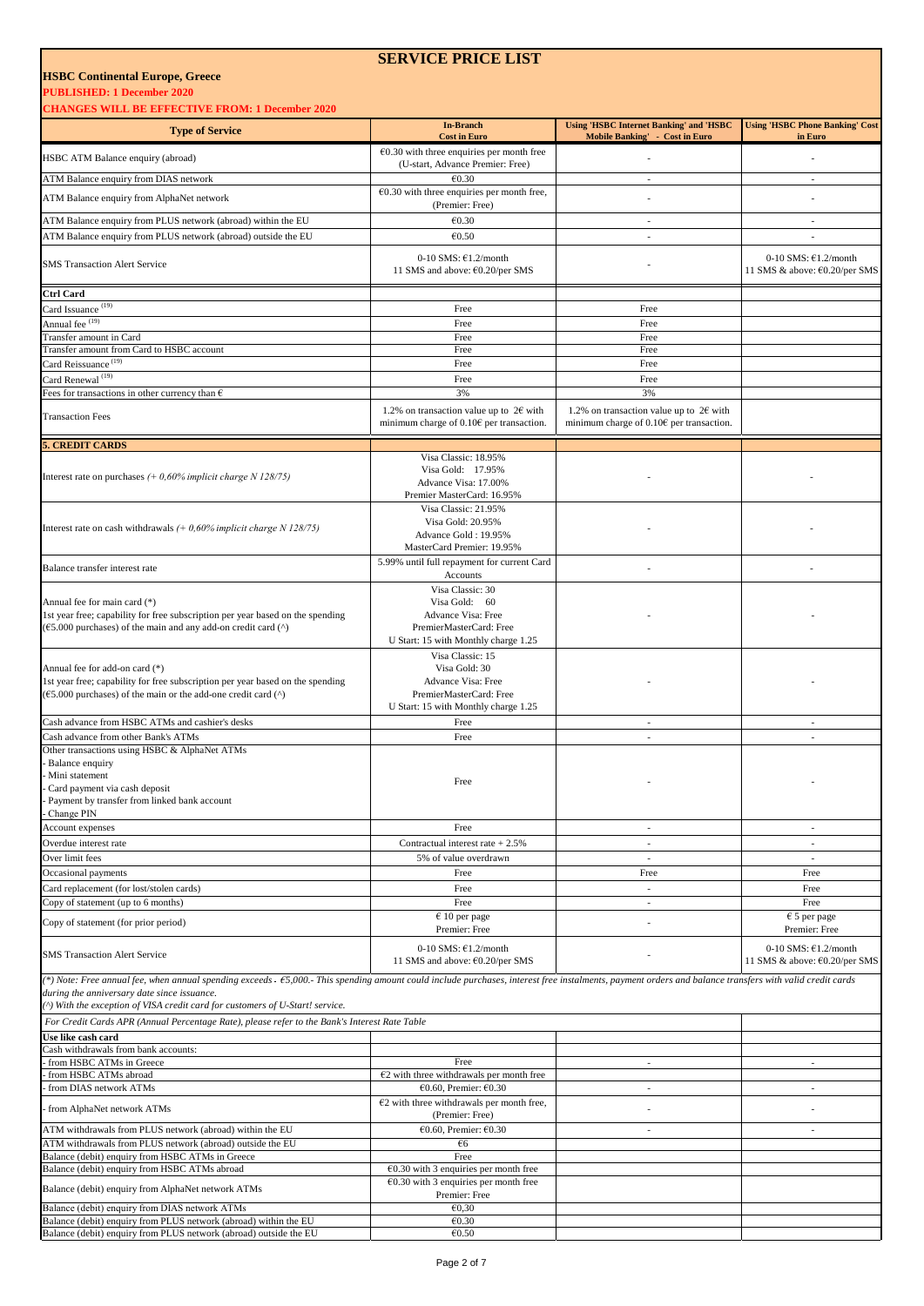**PUBLISHED: 1 December 2020**

**CHANGES WILL BE EFFECTIVE FROM: 1 December 2020** 

| <b>HANGES WILL BE EFFECTIVE FROM: 1 December 2020</b>                                                                                                                                                                                                                                                                                    |                                                                                                                            |                                                                                                 |                                                            |
|------------------------------------------------------------------------------------------------------------------------------------------------------------------------------------------------------------------------------------------------------------------------------------------------------------------------------------------|----------------------------------------------------------------------------------------------------------------------------|-------------------------------------------------------------------------------------------------|------------------------------------------------------------|
| <b>Type of Service</b>                                                                                                                                                                                                                                                                                                                   | <b>In-Branch</b><br><b>Cost in Euro</b>                                                                                    | <b>Using 'HSBC Internet Banking' and 'HSBC</b><br><b>Mobile Banking' - Cost in Euro</b>         | <b>Using 'HSBC Phone Banking' Cost</b><br>in Euro          |
| HSBC ATM Balance enquiry (abroad)                                                                                                                                                                                                                                                                                                        | $€0.30$ with three enquiries per month free                                                                                |                                                                                                 |                                                            |
| ATM Balance enquiry from DIAS network                                                                                                                                                                                                                                                                                                    | (U-start, Advance Premier: Free)<br>€0.30                                                                                  | $\overline{\phantom{a}}$                                                                        | $\overline{\phantom{a}}$                                   |
| ATM Balance enquiry from AlphaNet network                                                                                                                                                                                                                                                                                                | $E$ 0.30 with three enquiries per month free,<br>(Premier: Free)                                                           |                                                                                                 |                                                            |
| ATM Balance enquiry from PLUS network (abroad) within the EU                                                                                                                                                                                                                                                                             | €0.30                                                                                                                      | $\sim$                                                                                          | ٠                                                          |
| ATM Balance enquiry from PLUS network (abroad) outside the EU                                                                                                                                                                                                                                                                            | €0.50                                                                                                                      | $\overline{\phantom{a}}$                                                                        | ÷,                                                         |
| <b>SMS Transaction Alert Service</b>                                                                                                                                                                                                                                                                                                     | 0-10 SMS: $£1.2/month$<br>11 SMS and above: €0.20/per SMS                                                                  |                                                                                                 | 0-10 SMS: $£1.2/month$<br>11 SMS & above: €0.20/per SMS    |
| Ctrl Card                                                                                                                                                                                                                                                                                                                                |                                                                                                                            |                                                                                                 |                                                            |
| Card Issuance <sup>(19)</sup>                                                                                                                                                                                                                                                                                                            | Free                                                                                                                       | Free                                                                                            |                                                            |
| Annual fee <sup>(19)</sup><br>Transfer amount in Card                                                                                                                                                                                                                                                                                    | Free<br>Free                                                                                                               | Free<br>Free                                                                                    |                                                            |
| Transfer amount from Card to HSBC account                                                                                                                                                                                                                                                                                                | Free                                                                                                                       | Free                                                                                            |                                                            |
| Card Reissuance <sup>(19)</sup><br>Card Renewal <sup>(19)</sup>                                                                                                                                                                                                                                                                          | Free<br>Free                                                                                                               | Free<br>Free                                                                                    |                                                            |
| Fees for transactions in other currency than $\epsilon$                                                                                                                                                                                                                                                                                  | 3%                                                                                                                         | 3%                                                                                              |                                                            |
| <b>Transaction Fees</b>                                                                                                                                                                                                                                                                                                                  | 1.2% on transaction value up to $2\epsilon$ with<br>minimum charge of $0.106$ per transaction.                             | 1.2% on transaction value up to $2 \epsilon$ with<br>minimum charge of $0.106$ per transaction. |                                                            |
| . CREDIT CARDS                                                                                                                                                                                                                                                                                                                           |                                                                                                                            |                                                                                                 |                                                            |
|                                                                                                                                                                                                                                                                                                                                          | Visa Classic: 18.95%<br>Visa Gold: 17.95%                                                                                  |                                                                                                 |                                                            |
| Interest rate on purchases $(+0.60\%$ implicit charge N 128/75)                                                                                                                                                                                                                                                                          | Advance Visa: 17.00%<br>Premier MasterCard: 16.95%                                                                         |                                                                                                 |                                                            |
| Interest rate on cash withdrawals $(+0,60\%$ implicit charge N 128/75)                                                                                                                                                                                                                                                                   | Visa Classic: 21.95%<br>Visa Gold: 20.95%<br>Advance Gold: 19.95%<br>MasterCard Premier: 19.95%                            |                                                                                                 |                                                            |
| Balance transfer interest rate                                                                                                                                                                                                                                                                                                           | 5.99% until full repayment for current Card<br>Accounts                                                                    |                                                                                                 |                                                            |
| Annual fee for main card (*)<br>1st year free; capability for free subscription per year based on the spending<br>$(65.000)$ purchases) of the main and any add-on credit card $(^{\wedge})$                                                                                                                                             | Visa Classic: 30<br>Visa Gold: 60<br>Advance Visa: Free<br>PremierMasterCard: Free<br>U Start: 15 with Monthly charge 1.25 |                                                                                                 |                                                            |
| Annual fee for add-on card (*)<br>1st year free; capability for free subscription per year based on the spending<br>$(65.000$ purchases) of the main or the add-one credit card $(^{\wedge})$                                                                                                                                            | Visa Classic: 15<br>Visa Gold: 30<br>Advance Visa: Free<br>PremierMasterCard: Free<br>U Start: 15 with Monthly charge 1.25 |                                                                                                 |                                                            |
| Cash advance from HSBC ATMs and cashier's desks                                                                                                                                                                                                                                                                                          | Free                                                                                                                       | $\sim$                                                                                          | $\overline{\phantom{a}}$                                   |
| Cash advance from other Bank's ATMs<br>Other transactions using HSBC & AlphaNet ATMs<br>Balance enquiry<br>Mini statement<br>Card payment via cash deposit<br>Payment by transfer from linked bank account<br>Change PIN                                                                                                                 | Free<br>Free                                                                                                               | $\overline{\phantom{a}}$                                                                        | ٠                                                          |
| Account expenses                                                                                                                                                                                                                                                                                                                         | Free                                                                                                                       | $\overline{\phantom{a}}$                                                                        | $\overline{\phantom{a}}$                                   |
| Overdue interest rate                                                                                                                                                                                                                                                                                                                    | Contractual interest rate $+2.5%$                                                                                          | $\sim$                                                                                          | $\overline{\phantom{a}}$                                   |
| Over limit fees<br>Occasional payments                                                                                                                                                                                                                                                                                                   | 5% of value overdrawn<br>Free                                                                                              | $\overline{\phantom{a}}$<br>Free                                                                | $\overline{\phantom{a}}$<br>Free                           |
| Card replacement (for lost/stolen cards)                                                                                                                                                                                                                                                                                                 | Free                                                                                                                       | $\overline{\phantom{a}}$                                                                        | Free                                                       |
| Copy of statement (up to 6 months)                                                                                                                                                                                                                                                                                                       | Free                                                                                                                       | $\sim$                                                                                          | Free                                                       |
| Copy of statement (for prior period)                                                                                                                                                                                                                                                                                                     | $\epsilon$ 10 per page<br>Premier: Free                                                                                    |                                                                                                 | $\epsilon$ 5 per page<br>Premier: Free                     |
| <b>SMS Transaction Alert Service</b>                                                                                                                                                                                                                                                                                                     | 0-10 SMS: $£1.2/month$<br>11 SMS and above: €0.20/per SMS                                                                  |                                                                                                 | 0-10 SMS: $£1.2/month$<br>11 SMS & above: $60.20$ /per SMS |
| (*) Note: Free annual fee, when annual spending exceeds - £5,000.- This spending amount could include purchases, interest free instalments, payment orders and balance transfers with valid credit cards<br>during the anniversary date since issuance.<br>(^) With the exception of VISA credit card for customers of U-Start! service. |                                                                                                                            |                                                                                                 |                                                            |
| For Credit Cards APR (Annual Percentage Rate), please refer to the Bank's Interest Rate Table<br>Use like cash card                                                                                                                                                                                                                      |                                                                                                                            |                                                                                                 |                                                            |
| Cash withdrawals from bank accounts:                                                                                                                                                                                                                                                                                                     |                                                                                                                            |                                                                                                 |                                                            |
| from HSBC ATMs in Greece                                                                                                                                                                                                                                                                                                                 | Free                                                                                                                       | $\overline{\phantom{a}}$                                                                        | $\overline{\phantom{a}}$                                   |
| from HSBC ATMs abroad<br>from DIAS network ATMs                                                                                                                                                                                                                                                                                          | $E2$ with three withdrawals per month free<br>€0.60, Premier: €0.30                                                        | $\overline{\phantom{a}}$                                                                        | $\overline{\phantom{a}}$                                   |
| from AlphaNet network ATMs                                                                                                                                                                                                                                                                                                               | $E2$ with three withdrawals per month free,<br>(Premier: Free)                                                             |                                                                                                 |                                                            |
| ATM withdrawals from PLUS network (abroad) within the EU                                                                                                                                                                                                                                                                                 | €0.60, Premier: €0.30                                                                                                      | $\overline{\phantom{a}}$                                                                        | $\overline{\phantom{a}}$                                   |
| ATM withdrawals from PLUS network (abroad) outside the EU                                                                                                                                                                                                                                                                                | $\epsilon$ 6<br>Free                                                                                                       |                                                                                                 |                                                            |
| Balance (debit) enquiry from HSBC ATMs in Greece<br>Balance (debit) enquiry from HSBC ATMs abroad                                                                                                                                                                                                                                        | $E$ 0.30 with 3 enquiries per month free                                                                                   |                                                                                                 |                                                            |
| Balance (debit) enquiry from AlphaNet network ATMs                                                                                                                                                                                                                                                                                       | $\epsilon$ 0.30 with 3 enquiries per month free<br>Premier: Free                                                           |                                                                                                 |                                                            |
| Balance (debit) enquiry from DIAS network ATMs                                                                                                                                                                                                                                                                                           | E0,30                                                                                                                      |                                                                                                 |                                                            |
| Balance (debit) enquiry from PLUS network (abroad) within the EU<br>Balance (debit) enquiry from PLUS network (abroad) outside the EU                                                                                                                                                                                                    | €0.30<br>€0.50                                                                                                             |                                                                                                 |                                                            |

**SERVICE PRICE LIST**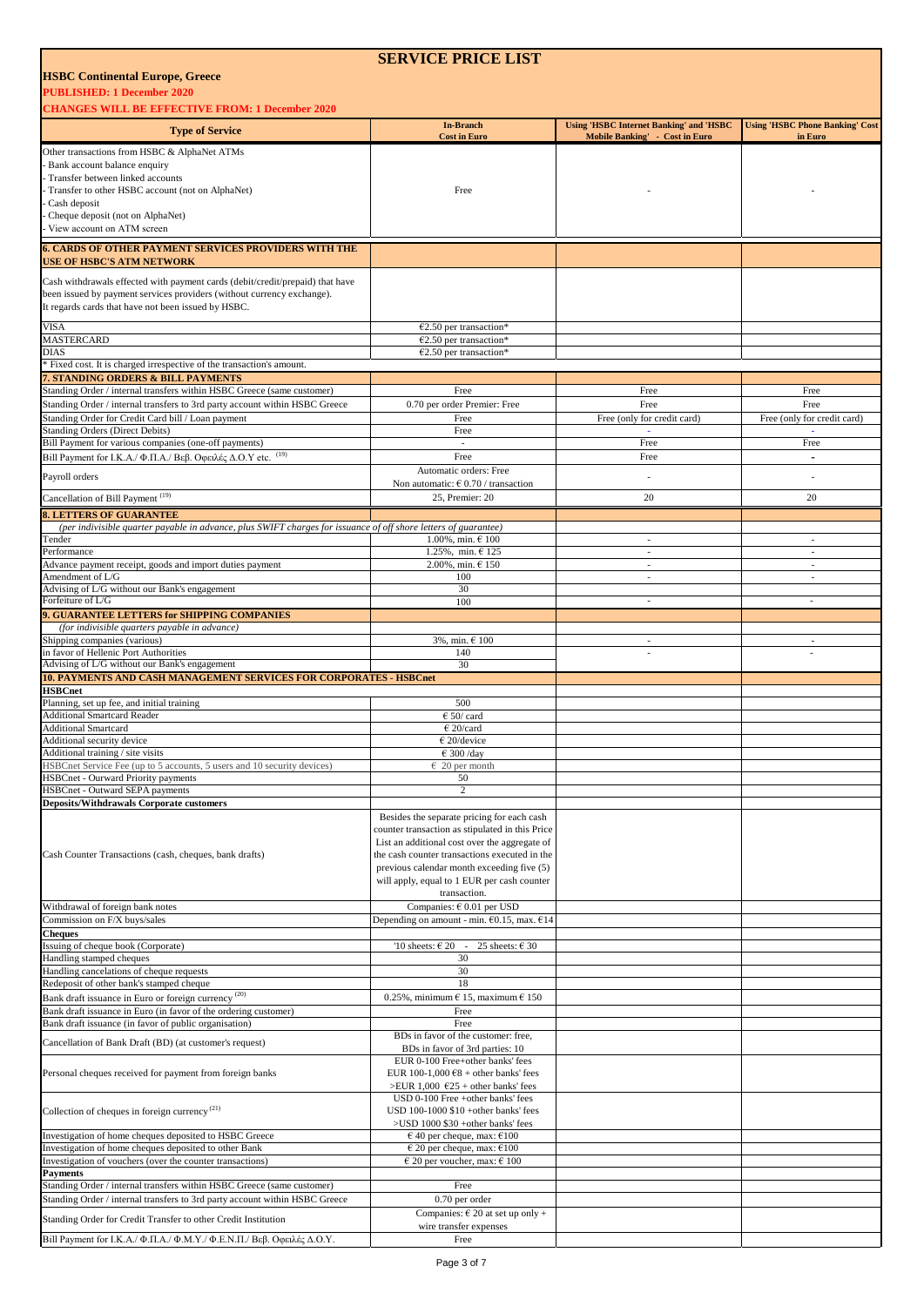|                                                                                                                                                       | <b>SERVICE PRICE LIST</b>                                                                      |                                                                                  |                                                   |
|-------------------------------------------------------------------------------------------------------------------------------------------------------|------------------------------------------------------------------------------------------------|----------------------------------------------------------------------------------|---------------------------------------------------|
| <b>HSBC Continental Europe, Greece</b>                                                                                                                |                                                                                                |                                                                                  |                                                   |
| <b>PUBLISHED: 1 December 2020</b>                                                                                                                     |                                                                                                |                                                                                  |                                                   |
| <b>CHANGES WILL BE EFFECTIVE FROM: 1 December 2020</b>                                                                                                |                                                                                                |                                                                                  |                                                   |
| <b>Type of Service</b>                                                                                                                                | <b>In-Branch</b><br><b>Cost in Euro</b>                                                        | <b>Using 'HSBC Internet Banking' and 'HSBC</b><br>Mobile Banking' - Cost in Euro | <b>Using 'HSBC Phone Banking' Cost</b><br>in Euro |
| Other transactions from HSBC & AlphaNet ATMs                                                                                                          |                                                                                                |                                                                                  |                                                   |
| Bank account balance enquiry<br>Transfer between linked accounts                                                                                      |                                                                                                |                                                                                  |                                                   |
| Transfer to other HSBC account (not on AlphaNet)                                                                                                      | Free                                                                                           |                                                                                  |                                                   |
| Cash deposit                                                                                                                                          |                                                                                                |                                                                                  |                                                   |
| Cheque deposit (not on AlphaNet)<br>View account on ATM screen                                                                                        |                                                                                                |                                                                                  |                                                   |
| <b>6. CARDS OF OTHER PAYMENT SERVICES PROVIDERS WITH THE</b>                                                                                          |                                                                                                |                                                                                  |                                                   |
| <b>USE OF HSBC'S ATM NETWORK</b>                                                                                                                      |                                                                                                |                                                                                  |                                                   |
| Cash withdrawals effected with payment cards (debit/credit/prepaid) that have                                                                         |                                                                                                |                                                                                  |                                                   |
| been issued by payment services providers (without currency exchange).                                                                                |                                                                                                |                                                                                  |                                                   |
| It regards cards that have not been issued by HSBC.                                                                                                   |                                                                                                |                                                                                  |                                                   |
| VISA                                                                                                                                                  | $€2.50$ per transaction*                                                                       |                                                                                  |                                                   |
| <b>MASTERCARD</b><br><b>DIAS</b>                                                                                                                      | $€2.50$ per transaction*<br>$€2.50$ per transaction*                                           |                                                                                  |                                                   |
| Fixed cost. It is charged irrespective of the transaction's amount.                                                                                   |                                                                                                |                                                                                  |                                                   |
| <b>7. STANDING ORDERS &amp; BILL PAYMENTS</b>                                                                                                         |                                                                                                |                                                                                  |                                                   |
| Standing Order / internal transfers within HSBC Greece (same customer)<br>Standing Order / internal transfers to 3rd party account within HSBC Greece | Free<br>0.70 per order Premier: Free                                                           | Free<br>Free                                                                     | Free<br>Free                                      |
| Standing Order for Credit Card bill / Loan payment                                                                                                    | Free                                                                                           | Free (only for credit card)                                                      | Free (only for credit card)                       |
| <b>Standing Orders (Direct Debits)</b>                                                                                                                | Free                                                                                           |                                                                                  | ÷.                                                |
| Bill Payment for various companies (one-off payments)                                                                                                 | $\overline{\phantom{a}}$                                                                       | Free                                                                             | Free                                              |
| Bill Payment for Ι.Κ.Α./ Φ.Π.Α./ Βεβ. Οφειλές Δ.Ο.Υ etc. (19)                                                                                         | Free<br>Automatic orders: Free                                                                 | Free                                                                             | $\blacksquare$                                    |
| Payroll orders                                                                                                                                        | Non automatic: $\epsilon$ 0.70 / transaction                                                   |                                                                                  |                                                   |
| Cancellation of Bill Payment <sup>(19)</sup>                                                                                                          | 25, Premier: 20                                                                                | 20                                                                               | 20                                                |
| <b>8. LETTERS OF GUARANTEE</b>                                                                                                                        |                                                                                                |                                                                                  |                                                   |
| (per indivisible quarter payable in advance, plus SWIFT charges for issuance of off shore letters of guarantee)                                       |                                                                                                |                                                                                  |                                                   |
| Tender<br>Performance                                                                                                                                 | 1.00%, min. € 100<br>1.25%, min. $6125$                                                        | $\mathcal{L}_{\mathcal{A}}$<br>$\sim$                                            | $\mathcal{L}_{\mathcal{A}}$<br>$\sim$             |
| Advance payment receipt, goods and import duties payment                                                                                              | 2.00%, min. € 150                                                                              | $\sim$                                                                           | $\sim$                                            |
| Amendment of L/G                                                                                                                                      | 100                                                                                            | $\overline{\phantom{a}}$                                                         | $\overline{\phantom{a}}$                          |
| Advising of L/G without our Bank's engagement<br>Forfeiture of L/G                                                                                    | 30<br>100                                                                                      | $\sim$                                                                           |                                                   |
| 9. GUARANTEE LETTERS for SHIPPING COMPANIES                                                                                                           |                                                                                                |                                                                                  |                                                   |
| (for indivisible quarters payable in advance)                                                                                                         |                                                                                                |                                                                                  |                                                   |
| Shipping companies (various)<br>in favor of Hellenic Port Authorities                                                                                 | 3%, min. € 100<br>140                                                                          | $\overline{\phantom{a}}$<br>L,                                                   |                                                   |
| Advising of L/G without our Bank's engagement                                                                                                         | 30                                                                                             |                                                                                  |                                                   |
| <b>10. PAYMENTS AND CASH MANAGEMENT SERVICES FOR CORPORATES - HSBCnet</b>                                                                             |                                                                                                |                                                                                  |                                                   |
| <b>HSBCnet</b><br>Planning, set up fee, and initial training                                                                                          | 500                                                                                            |                                                                                  |                                                   |
| <b>Additional Smartcard Reader</b>                                                                                                                    | $650$ /card                                                                                    |                                                                                  |                                                   |
| <b>Additional Smartcard</b>                                                                                                                           | $E$ 20/card                                                                                    |                                                                                  |                                                   |
| Additional security device                                                                                                                            | $\epsilon$ 20/device                                                                           |                                                                                  |                                                   |
| Additional training / site visits<br>HSBCnet Service Fee (up to 5 accounts, 5 users and 10 security devices)                                          | $\overline{\text{E}}$ 300 /day<br>$\epsilon$ 20 per month                                      |                                                                                  |                                                   |
| <b>HSBCnet - Ourward Priority payments</b>                                                                                                            | 50                                                                                             |                                                                                  |                                                   |
| HSBCnet - Outward SEPA payments                                                                                                                       | $\overline{c}$                                                                                 |                                                                                  |                                                   |
| <b>Deposits/Withdrawals Corporate customers</b>                                                                                                       | Besides the separate pricing for each cash                                                     |                                                                                  |                                                   |
|                                                                                                                                                       | counter transaction as stipulated in this Price                                                |                                                                                  |                                                   |
|                                                                                                                                                       | List an additional cost over the aggregate of                                                  |                                                                                  |                                                   |
| Cash Counter Transactions (cash, cheques, bank drafts)                                                                                                | the cash counter transactions executed in the<br>previous calendar month exceeding five (5)    |                                                                                  |                                                   |
|                                                                                                                                                       | will apply, equal to 1 EUR per cash counter                                                    |                                                                                  |                                                   |
|                                                                                                                                                       | transaction.                                                                                   |                                                                                  |                                                   |
| Withdrawal of foreign bank notes                                                                                                                      | Companies: $\epsilon$ 0.01 per USD                                                             |                                                                                  |                                                   |
| Commission on F/X buys/sales<br>Cheques                                                                                                               | Depending on amount - min. $60.15$ , max. $614$                                                |                                                                                  |                                                   |
| Issuing of cheque book (Corporate)                                                                                                                    | '10 sheets: $\epsilon$ 20 -<br>25 sheets: $\epsilon$ 30                                        |                                                                                  |                                                   |
| Handling stamped cheques                                                                                                                              | 30                                                                                             |                                                                                  |                                                   |
| Handling cancelations of cheque requests<br>Redeposit of other bank's stamped cheque                                                                  | 30<br>18                                                                                       |                                                                                  |                                                   |
| Bank draft issuance in Euro or foreign currency <sup>(20)</sup>                                                                                       | 0.25%, minimum $\in$ 15, maximum $\in$ 150                                                     |                                                                                  |                                                   |
| Bank draft issuance in Euro (in favor of the ordering customer)                                                                                       | Free                                                                                           |                                                                                  |                                                   |
| Bank draft issuance (in favor of public organisation)                                                                                                 | Free                                                                                           |                                                                                  |                                                   |
| Cancellation of Bank Draft (BD) (at customer's request)                                                                                               | BDs in favor of the customer: free,<br>BDs in favor of 3rd parties: 10                         |                                                                                  |                                                   |
|                                                                                                                                                       | EUR 0-100 Free+other banks' fees                                                               |                                                                                  |                                                   |
| Personal cheques received for payment from foreign banks                                                                                              | EUR 100-1,000 $68 +$ other banks' fees                                                         |                                                                                  |                                                   |
|                                                                                                                                                       | >EUR 1,000 $625 +$ other banks' fees<br>USD 0-100 Free +other banks' fees                      |                                                                                  |                                                   |
| Collection of cheques in foreign currency <sup>(21)</sup>                                                                                             | USD 100-1000 \$10 +other banks' fees                                                           |                                                                                  |                                                   |
|                                                                                                                                                       | >USD 1000 \$30 +other banks' fees                                                              |                                                                                  |                                                   |
| Investigation of home cheques deposited to HSBC Greece<br>Investigation of home cheques deposited to other Bank                                       | $\epsilon$ 40 per cheque, max: $\epsilon$ 100<br>$\epsilon$ 20 per cheque, max: $\epsilon$ 100 |                                                                                  |                                                   |
| Investigation of vouchers (over the counter transactions)                                                                                             | $\epsilon$ 20 per voucher, max: $\epsilon$ 100                                                 |                                                                                  |                                                   |
| <b>Payments</b>                                                                                                                                       |                                                                                                |                                                                                  |                                                   |
| Standing Order / internal transfers within HSBC Greece (same customer)<br>Standing Order / internal transfers to 3rd party account within HSBC Greece | Free<br>$0.70$ per order                                                                       |                                                                                  |                                                   |
|                                                                                                                                                       | Companies: $\in$ 20 at set up only +                                                           |                                                                                  |                                                   |
| Standing Order for Credit Transfer to other Credit Institution                                                                                        | wire transfer expenses                                                                         |                                                                                  |                                                   |
| Bill Payment for Ι.Κ.Α./ Φ.Π.Α./ Φ.Μ.Υ./ Φ.Ε.Ν.Π./ Βεβ. Οφειλές Δ.Ο.Υ.                                                                                | Free                                                                                           |                                                                                  |                                                   |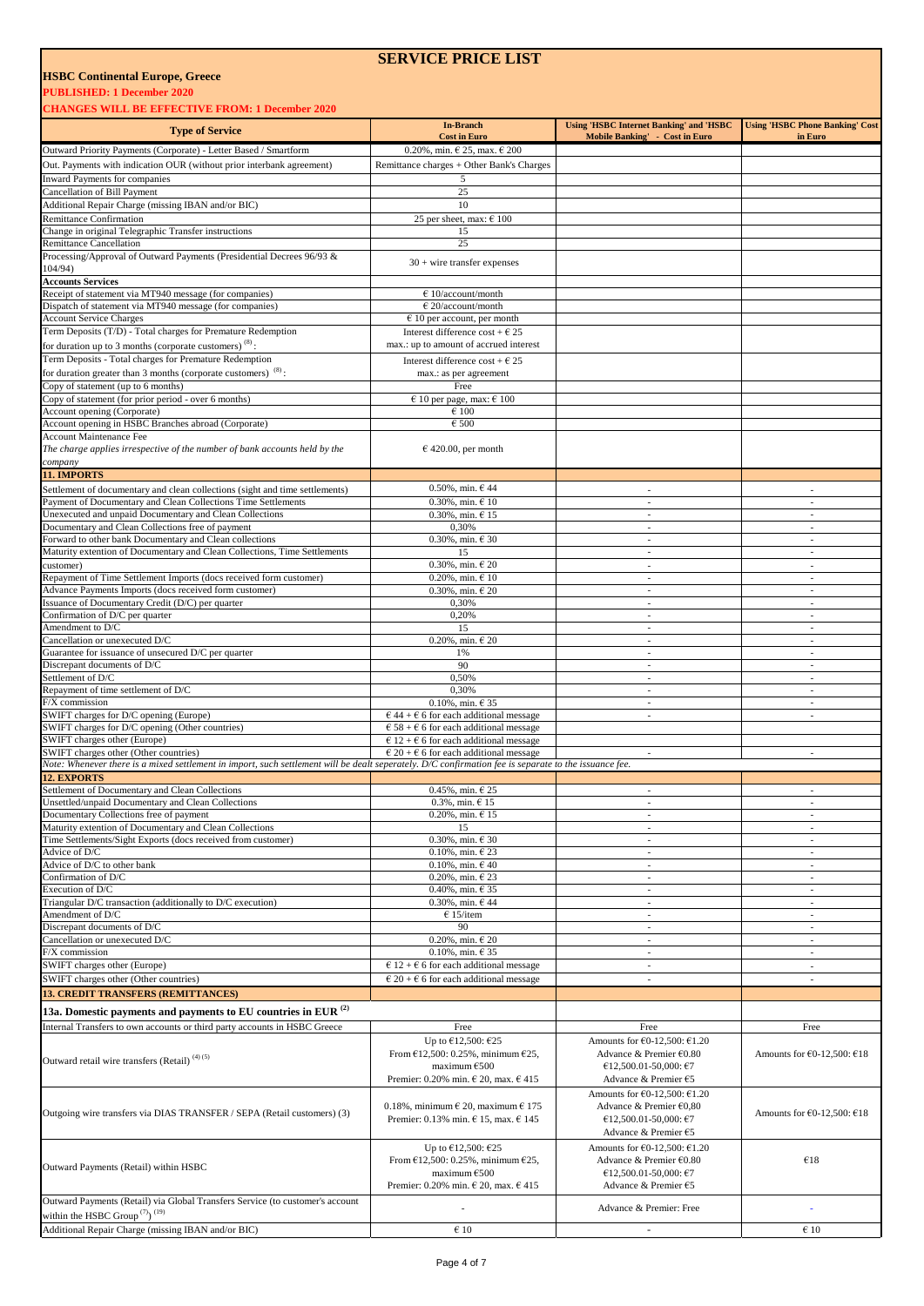#### **PUBLISHED: 1 December 2020**

**CHANGES WILL BE EFFECTIVE FROM: 1 December 2020** 

| <b>Type of Service</b>                                                                                                                                | <b>In-Branch</b>                                         | <b>Using 'HSBC Internet Banking' and 'HSBC</b>   | <b>Using 'HSBC Phone Banking' Cost</b>               |
|-------------------------------------------------------------------------------------------------------------------------------------------------------|----------------------------------------------------------|--------------------------------------------------|------------------------------------------------------|
|                                                                                                                                                       | <b>Cost in Euro</b>                                      | Mobile Banking' - Cost in Euro                   | in Euro                                              |
| Outward Priority Payments (Corporate) - Letter Based / Smartform                                                                                      | 0.20%, min. $\in$ 25, max. $\in$ 200                     |                                                  |                                                      |
| Out. Payments with indication OUR (without prior interbank agreement)                                                                                 | Remittance charges + Other Bank's Charges                |                                                  |                                                      |
| Inward Payments for companies                                                                                                                         | 5                                                        |                                                  |                                                      |
| Cancellation of Bill Payment                                                                                                                          | 25                                                       |                                                  |                                                      |
| Additional Repair Charge (missing IBAN and/or BIC)                                                                                                    | 10                                                       |                                                  |                                                      |
| <b>Remittance Confirmation</b>                                                                                                                        | 25 per sheet, max: $\epsilon$ 100                        |                                                  |                                                      |
| Change in original Telegraphic Transfer instructions                                                                                                  | 15                                                       |                                                  |                                                      |
| <b>Remittance Cancellation</b>                                                                                                                        | 25                                                       |                                                  |                                                      |
| Processing/Approval of Outward Payments (Presidential Decrees 96/93 &                                                                                 |                                                          |                                                  |                                                      |
| 104/94)                                                                                                                                               | $30 +$ wire transfer expenses                            |                                                  |                                                      |
| <b>Accounts Services</b>                                                                                                                              |                                                          |                                                  |                                                      |
| Receipt of statement via MT940 message (for companies)                                                                                                | $€ 10/a$ ccount/month                                    |                                                  |                                                      |
| Dispatch of statement via MT940 message (for companies)                                                                                               | $\epsilon$ 20/account/month                              |                                                  |                                                      |
| <b>Account Service Charges</b>                                                                                                                        |                                                          |                                                  |                                                      |
|                                                                                                                                                       | $6$ 10 per account, per month                            |                                                  |                                                      |
| Term Deposits (T/D) - Total charges for Premature Redemption                                                                                          | Interest difference cost + $\epsilon$ 25                 |                                                  |                                                      |
| for duration up to 3 months (corporate customers) $(8)$ :                                                                                             | max.: up to amount of accrued interest                   |                                                  |                                                      |
| Term Deposits - Total charges for Premature Redemption                                                                                                | Interest difference $\cos t + \epsilon 25$               |                                                  |                                                      |
| for duration greater than 3 months (corporate customers) $(8)$ :                                                                                      | max.: as per agreement                                   |                                                  |                                                      |
| Copy of statement (up to 6 months)                                                                                                                    | Free                                                     |                                                  |                                                      |
| Copy of statement (for prior period - over 6 months)                                                                                                  | $\epsilon$ 10 per page, max: $\epsilon$ 100              |                                                  |                                                      |
| Account opening (Corporate)                                                                                                                           | $\epsilon$ 100                                           |                                                  |                                                      |
| Account opening in HSBC Branches abroad (Corporate)                                                                                                   | $\epsilon$ 500                                           |                                                  |                                                      |
| Account Maintenance Fee                                                                                                                               |                                                          |                                                  |                                                      |
| The charge applies irrespective of the number of bank accounts held by the                                                                            | $€$ 420.00, per month                                    |                                                  |                                                      |
| company                                                                                                                                               |                                                          |                                                  |                                                      |
| 11. IMPORTS                                                                                                                                           |                                                          |                                                  |                                                      |
|                                                                                                                                                       |                                                          |                                                  |                                                      |
| Settlement of documentary and clean collections (sight and time settlements)                                                                          | $0.50\%$ , min. $6.44$                                   | ÷,                                               | $\overline{a}$                                       |
| Payment of Documentary and Clean Collections Time Settlements                                                                                         | $0.30\%$ , min. $\in$ 10                                 | $\sim$                                           | $\overline{\phantom{a}}$                             |
| Unexecuted and unpaid Documentary and Clean Collections                                                                                               | $0.30\%$ , min. $615$                                    | ÷.                                               | $\sim$                                               |
| Documentary and Clean Collections free of payment                                                                                                     | 0,30%                                                    | $\overline{\phantom{a}}$                         | $\overline{\phantom{a}}$                             |
| Forward to other bank Documentary and Clean collections                                                                                               | $0.30\%$ , min. $\in$ 30                                 | $\sim$                                           | $\overline{\phantom{a}}$                             |
| Maturity extention of Documentary and Clean Collections, Time Settlements                                                                             | 15                                                       | $\sim$                                           | ٠                                                    |
| customer)                                                                                                                                             | $0.30\%$ , min. $\in$ 20                                 | $\sim$                                           | $\sim$                                               |
| Repayment of Time Settlement Imports (docs received form customer)                                                                                    | $0.20\%$ , min. $610$                                    | $\overline{\phantom{a}}$                         | $\overline{\phantom{a}}$                             |
| Advance Payments Imports (docs received form customer)                                                                                                | $0.30\%$ , min. $\in$ 20                                 | $\overline{\phantom{a}}$                         | $\overline{\phantom{a}}$                             |
| Issuance of Documentary Credit (D/C) per quarter                                                                                                      | 0,30%                                                    | $\overline{\phantom{a}}$                         | $\overline{\phantom{a}}$                             |
| Confirmation of D/C per quarter                                                                                                                       | 0,20%                                                    | $\overline{\phantom{a}}$                         | $\overline{\phantom{a}}$                             |
| Amendment to D/C                                                                                                                                      | 15                                                       | $\overline{\phantom{a}}$                         | $\overline{\phantom{a}}$                             |
| Cancellation or unexecuted D/C                                                                                                                        | $0.20\%$ , min. $\in$ 20                                 | ÷.                                               | $\overline{\phantom{a}}$                             |
| Guarantee for issuance of unsecured D/C per quarter                                                                                                   | 1%                                                       | $\overline{\phantom{a}}$                         | $\overline{\phantom{a}}$                             |
| Discrepant documents of D/C                                                                                                                           | 90                                                       | $\sim$                                           | $\overline{\phantom{a}}$                             |
| Settlement of D/C                                                                                                                                     | 0,50%                                                    | $\sim$                                           | ٠                                                    |
| Repayment of time settlement of D/C                                                                                                                   | 0,30%                                                    | $\sim$                                           | $\sim$                                               |
| F/X commission                                                                                                                                        | $0.10\%$ , min. $\in$ 35                                 | $\sim$                                           | $\overline{\phantom{a}}$                             |
| SWIFT charges for D/C opening (Europe)                                                                                                                | $\epsilon$ 44 + $\epsilon$ 6 for each additional message |                                                  |                                                      |
| SWIFT charges for D/C opening (Other countries)                                                                                                       | $\epsilon$ 58 + $\epsilon$ 6 for each additional message |                                                  |                                                      |
| SWIFT charges other (Europe)                                                                                                                          | $612 + 66$ for each additional message                   |                                                  |                                                      |
| SWIFT charges other (Other countries)                                                                                                                 | $\epsilon$ 20 + $\epsilon$ 6 for each additional message | $\overline{\phantom{a}}$                         |                                                      |
| Note: Whenever there is a mixed settlement in import, such settlement will be dealt seperately. D/C confirmation fee is separate to the issuance fee. |                                                          |                                                  |                                                      |
| <b>12. EXPORTS</b>                                                                                                                                    |                                                          |                                                  |                                                      |
| Settlement of Documentary and Clean Collections                                                                                                       | $0.45\%$ , min. $6.25$                                   |                                                  |                                                      |
| Unsettled/unpaid Documentary and Clean Collections                                                                                                    | $0.3\%$ , min. $6.15$                                    | $\overline{\phantom{a}}$                         | $\sim$                                               |
| Documentary Collections free of payment                                                                                                               | $0.20\%$ , min. $615$                                    | $\overline{\phantom{a}}$                         | $\overline{\phantom{a}}$                             |
| Maturity extention of Documentary and Clean Collections                                                                                               | 15                                                       | ÷.                                               | $\overline{\phantom{a}}$                             |
| Time Settlements/Sight Exports (docs received from customer)                                                                                          | $0.30\%$ , min. $\in$ 30                                 | $\sim$                                           | $\sim$                                               |
| Advice of D/C                                                                                                                                         | $0.10\%$ , min. $\in$ 23                                 | $\overline{\phantom{a}}$                         | $\overline{\phantom{a}}$                             |
| Advice of D/C to other bank                                                                                                                           | $0.10\%$ , min. $\in$ 40                                 | $\overline{\phantom{a}}$                         |                                                      |
|                                                                                                                                                       |                                                          | ÷.                                               | $\overline{\phantom{a}}$<br>$\sim$                   |
| Confirmation of D/C                                                                                                                                   | $0.20\%$ , min. $\in$ 23                                 |                                                  |                                                      |
| Execution of D/C<br>Triangular D/C transaction (additionally to D/C execution)                                                                        | 0.40%, min. $6.35$                                       | $\overline{\phantom{a}}$<br>$\sim$               | $\overline{\phantom{a}}$                             |
| Amendment of D/C                                                                                                                                      | $0.30\%$ , min. $6.44$<br>$€ 15$ /item                   | $\overline{\phantom{a}}$                         | $\overline{\phantom{a}}$<br>$\overline{\phantom{a}}$ |
|                                                                                                                                                       |                                                          |                                                  |                                                      |
| Discrepant documents of D/C                                                                                                                           | 90                                                       | $\overline{\phantom{a}}$                         | $\overline{\phantom{a}}$                             |
| Cancellation or unexecuted D/C                                                                                                                        | $0.20\%$ , min. $620$                                    | $\sim$                                           | $\overline{\phantom{a}}$                             |
| F/X commission                                                                                                                                        | $0.10\%$ , min. $\in$ 35                                 | $\overline{\phantom{a}}$                         | $\overline{\phantom{a}}$                             |
| SWIFT charges other (Europe)                                                                                                                          | $\epsilon$ 12 + $\epsilon$ 6 for each additional message | $\sim$                                           | $\overline{\phantom{a}}$                             |
| SWIFT charges other (Other countries)                                                                                                                 | $\epsilon$ 20 + $\epsilon$ 6 for each additional message | $\overline{\phantom{a}}$                         | $\overline{\phantom{a}}$                             |
| <b>13. CREDIT TRANSFERS (REMITTANCES)</b>                                                                                                             |                                                          |                                                  |                                                      |
|                                                                                                                                                       |                                                          |                                                  |                                                      |
| 13a. Domestic payments and payments to EU countries in EUR <sup>(2)</sup>                                                                             |                                                          |                                                  |                                                      |
| Internal Transfers to own accounts or third party accounts in HSBC Greece                                                                             | Free                                                     | Free                                             | Free                                                 |
|                                                                                                                                                       | Up to €12,500: €25                                       | Amounts for €0-12,500: €1.20                     |                                                      |
|                                                                                                                                                       | From $£12,500:0.25%$ , minimum $£25$ ,                   | Advance & Premier €0.80                          | Amounts for $E0-12,500$ : $E18$                      |
| Outward retail wire transfers (Retail) $(4)(5)$                                                                                                       | maximum $€500$                                           | €12,500.01-50,000: €7                            |                                                      |
|                                                                                                                                                       | Premier: 0.20% min. $\in$ 20, max. $\in$ 415             | Advance & Premier €5                             |                                                      |
|                                                                                                                                                       |                                                          | Amounts for €0-12,500: €1.20                     |                                                      |
|                                                                                                                                                       | 0.18%, minimum $\epsilon$ 20, maximum $\epsilon$ 175     | Advance & Premier €0,80                          |                                                      |
| Outgoing wire transfers via DIAS TRANSFER / SEPA (Retail customers) (3)                                                                               | Premier: 0.13% min. € 15, max. € 145                     | €12,500.01-50,000: €7                            | Amounts for $E0-12,500$ : $E18$                      |
|                                                                                                                                                       |                                                          | Advance & Premier €5                             |                                                      |
|                                                                                                                                                       |                                                          |                                                  |                                                      |
|                                                                                                                                                       | Up to $\epsilon$ 12,500: $\epsilon$ 25                   | Amounts for $\epsilon$ 0-12,500: $\epsilon$ 1.20 |                                                      |
| Outward Payments (Retail) within HSBC                                                                                                                 | From $£12,500:0.25%$ , minimum $£25$ ,                   | Advance & Premier €0.80                          | €18                                                  |
|                                                                                                                                                       | maximum $€500$                                           | €12,500.01-50,000: €7                            |                                                      |
|                                                                                                                                                       | Premier: 0.20% min. $\in$ 20, max. $\in$ 415             | Advance & Premier €5                             |                                                      |
| Outward Payments (Retail) via Global Transfers Service (to customer's account                                                                         |                                                          |                                                  |                                                      |
| within the HSBC Group <sup>(7)</sup> ) <sup>(19)</sup>                                                                                                |                                                          | Advance & Premier: Free                          |                                                      |
|                                                                                                                                                       |                                                          |                                                  |                                                      |
| Additional Repair Charge (missing IBAN and/or BIC)                                                                                                    | $\epsilon$ 10                                            |                                                  | $\epsilon$ 10                                        |

**SERVICE PRICE LIST**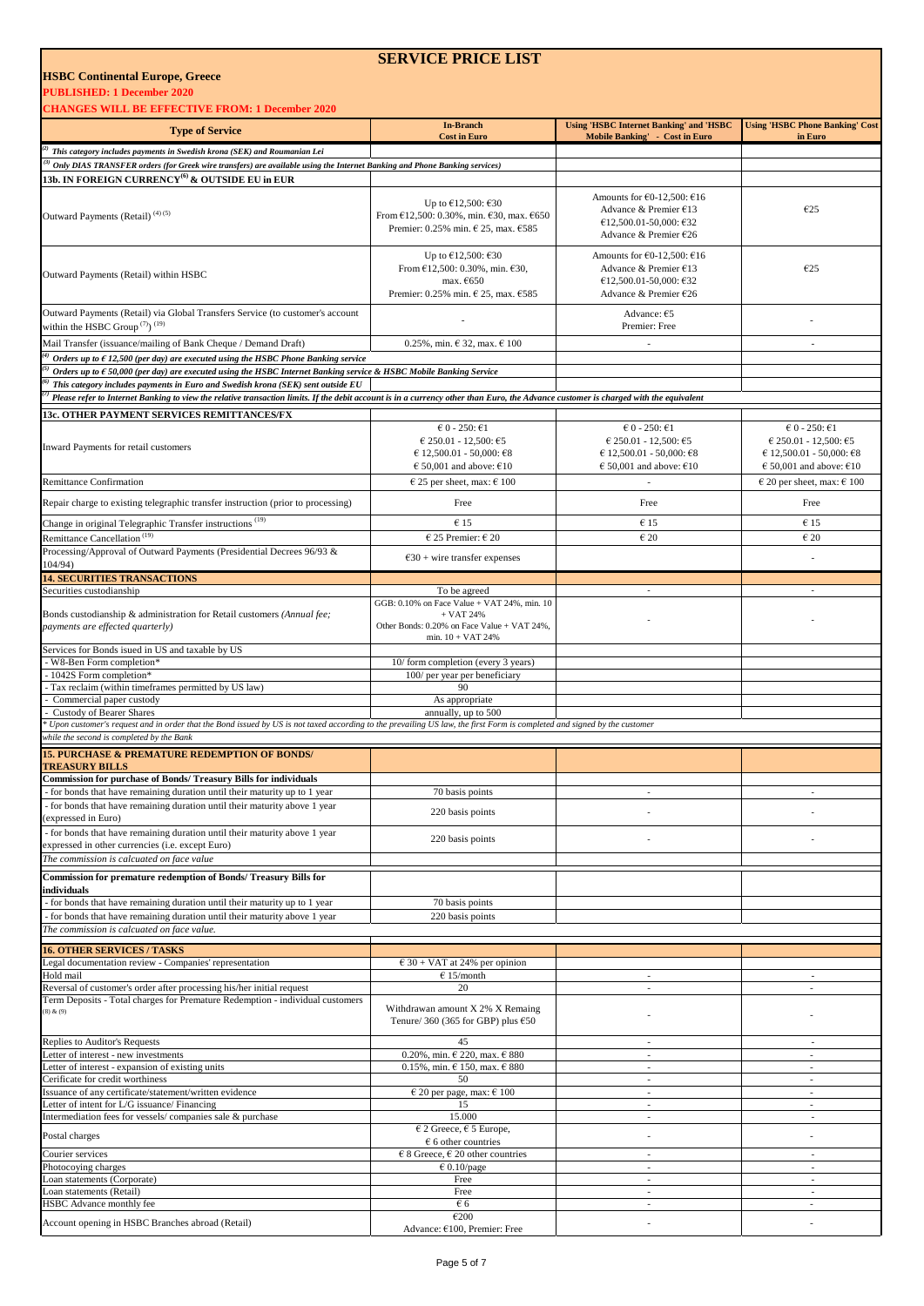Account opening in HSBC Branches abroad (Retail)

**PUBLISHED: 1 December 2020**

**SERVICE PRICE LIST** 

| <b>CHANGES WILL BE EFFECTIVE FROM: 1 December 2020</b>                                                                                                                                                                                                                                                       |                                                                                                                                                                     |                                                                                                                       |                                                                                                                                                           |
|--------------------------------------------------------------------------------------------------------------------------------------------------------------------------------------------------------------------------------------------------------------------------------------------------------------|---------------------------------------------------------------------------------------------------------------------------------------------------------------------|-----------------------------------------------------------------------------------------------------------------------|-----------------------------------------------------------------------------------------------------------------------------------------------------------|
| <b>Type of Service</b>                                                                                                                                                                                                                                                                                       | <b>In-Branch</b>                                                                                                                                                    | <b>Using 'HSBC Internet Banking' and 'HSBC</b>                                                                        | <b>Using 'HSBC Phone Banking' Cost</b>                                                                                                                    |
| This category includes payments in Swedish krona (SEK) and Roumanian Lei                                                                                                                                                                                                                                     | <b>Cost in Euro</b>                                                                                                                                                 | Mobile Banking' - Cost in Euro                                                                                        | in Euro                                                                                                                                                   |
| $^{3)}$ Only DIAS TRANSFER orders (for Greek wire transfers) are available using the Internet Banking and Phone Banking services)                                                                                                                                                                            |                                                                                                                                                                     |                                                                                                                       |                                                                                                                                                           |
| 13b. IN FOREIGN CURRENCY $^{(6)}$ & OUTSIDE EU in EUR                                                                                                                                                                                                                                                        |                                                                                                                                                                     |                                                                                                                       |                                                                                                                                                           |
| Outward Payments (Retail) <sup>(4)(5)</sup>                                                                                                                                                                                                                                                                  | Up to $£12,500$ : $£30$<br>From €12,500: 0.30%, min. €30, max. €650<br>Premier: 0.25% min. € 25, max. €585                                                          | Amounts for $E0-12,500$ : $E16$<br>Advance & Premier €13<br>€12,500.01-50,000: €32<br>Advance & Premier £26           | E25                                                                                                                                                       |
| Outward Payments (Retail) within HSBC                                                                                                                                                                                                                                                                        | Up to $£12,500$ : $£30$<br>From €12,500: 0.30%, min. €30,<br>max. $E650$<br>Premier: 0.25% min. € 25, max. €585                                                     | Amounts for $E0-12,500$ : $E16$<br>Advance & Premier €13<br>€12,500.01-50,000: €32<br>Advance & Premier €26           | E25                                                                                                                                                       |
| Outward Payments (Retail) via Global Transfers Service (to customer's account<br>within the HSBC Group <sup>(7)</sup> ) <sup>(19)</sup>                                                                                                                                                                      |                                                                                                                                                                     | Advance: €5<br>Premier: Free                                                                                          |                                                                                                                                                           |
| Mail Transfer (issuance/mailing of Bank Cheque / Demand Draft)                                                                                                                                                                                                                                               | $0.25\%$ , min. $632$ , max. $6100$                                                                                                                                 | $\overline{a}$                                                                                                        | $\overline{\phantom{a}}$                                                                                                                                  |
| Orders up to $\epsilon$ 12,500 (per day) are executed using the HSBC Phone Banking service<br>Orders up to $\epsilon$ 50,000 (per day) are executed using the HSBC Internet Banking service & HSBC Mobile Banking Service<br>This category includes payments in Euro and Swedish krona (SEK) sent outside EU |                                                                                                                                                                     |                                                                                                                       |                                                                                                                                                           |
| Please refer to Internet Banking to view the relative transaction limits. If the debit account is in a currency other than Euro, the Advance customer is charged with the equivalent                                                                                                                         |                                                                                                                                                                     |                                                                                                                       |                                                                                                                                                           |
| 3c. OTHER PAYMENT SERVICES REMITTANCES/FX                                                                                                                                                                                                                                                                    |                                                                                                                                                                     |                                                                                                                       |                                                                                                                                                           |
| Inward Payments for retail customers<br>Remittance Confirmation                                                                                                                                                                                                                                              | $60 - 250: 61$<br>€ 250.01 - 12,500: €5<br>$€ 12,500.01 - 50,000; €8$<br>$\epsilon$ 50,001 and above: $\epsilon$ 10<br>$\epsilon$ 25 per sheet, max: $\epsilon$ 100 | $60 - 250: 61$<br>$6250.01 - 12.500$ : 65<br>$€ 12,500.01 - 50,000; €8$<br>$\epsilon$ 50,001 and above: $\epsilon$ 10 | $60 - 250: 61$<br>$€ 250.01 - 12,500: €5$<br>€ 12,500.01 - 50,000: €8<br>$\epsilon$ 50,001 and above: $\epsilon$ 10<br>$\in$ 20 per sheet, max: $\in$ 100 |
| Repair charge to existing telegraphic transfer instruction (prior to processing)                                                                                                                                                                                                                             | Free                                                                                                                                                                | Free                                                                                                                  | Free                                                                                                                                                      |
|                                                                                                                                                                                                                                                                                                              |                                                                                                                                                                     |                                                                                                                       |                                                                                                                                                           |
| Change in original Telegraphic Transfer instructions <sup>(19)</sup><br>Remittance Cancellation <sup>(19)</sup>                                                                                                                                                                                              | €15<br>$\epsilon$ 25 Premier: $\epsilon$ 20                                                                                                                         | $\epsilon$ 15<br>$\epsilon$ 20                                                                                        | €15<br>$\epsilon$ 20                                                                                                                                      |
| Processing/Approval of Outward Payments (Presidential Decrees 96/93 &                                                                                                                                                                                                                                        | $630 +$ wire transfer expenses                                                                                                                                      |                                                                                                                       |                                                                                                                                                           |
| 104/94)                                                                                                                                                                                                                                                                                                      |                                                                                                                                                                     |                                                                                                                       |                                                                                                                                                           |
| <b>14. SECURITIES TRANSACTIONS</b><br>Securities custodianship                                                                                                                                                                                                                                               | To be agreed                                                                                                                                                        | $\overline{\phantom{a}}$                                                                                              |                                                                                                                                                           |
|                                                                                                                                                                                                                                                                                                              | GGB: 0.10% on Face Value + VAT 24%, min. 10                                                                                                                         |                                                                                                                       |                                                                                                                                                           |
| Bonds custodianship & administration for Retail customers (Annual fee;<br>payments are effected quarterly)                                                                                                                                                                                                   | $+$ VAT 24%<br>Other Bonds: 0.20% on Face Value + VAT 24%,<br>min. $10 + VAT$ 24%                                                                                   |                                                                                                                       |                                                                                                                                                           |
| Services for Bonds isued in US and taxable by US<br>W8-Ben Form completion*                                                                                                                                                                                                                                  | 10/form completion (every 3 years)                                                                                                                                  |                                                                                                                       |                                                                                                                                                           |
| - 1042S Form completion*                                                                                                                                                                                                                                                                                     | 100/ per year per beneficiary                                                                                                                                       |                                                                                                                       |                                                                                                                                                           |
| Tax reclaim (within timeframes permitted by US law)<br>Commercial paper custody                                                                                                                                                                                                                              | 90<br>As appropriate                                                                                                                                                |                                                                                                                       |                                                                                                                                                           |
| Custody of Bearer Shares                                                                                                                                                                                                                                                                                     | annually, up to 500                                                                                                                                                 |                                                                                                                       |                                                                                                                                                           |
| Upon customer's request and in order that the Bond issued by US is not taxed according to the prevailing US law, the first Form is completed and signed by the customer<br>while the second is completed by the Bank                                                                                         |                                                                                                                                                                     |                                                                                                                       |                                                                                                                                                           |
| <b>15. PURCHASE &amp; PREMATURE REDEMPTION OF BONDS/</b>                                                                                                                                                                                                                                                     |                                                                                                                                                                     |                                                                                                                       |                                                                                                                                                           |
| <b>TREASURY BILLS</b>                                                                                                                                                                                                                                                                                        |                                                                                                                                                                     |                                                                                                                       |                                                                                                                                                           |
| Commission for purchase of Bonds/ Treasury Bills for individuals                                                                                                                                                                                                                                             |                                                                                                                                                                     |                                                                                                                       |                                                                                                                                                           |
| for bonds that have remaining duration until their maturity up to 1 year<br>- for bonds that have remaining duration until their maturity above 1 year                                                                                                                                                       | 70 basis points                                                                                                                                                     |                                                                                                                       |                                                                                                                                                           |
| expressed in Euro)                                                                                                                                                                                                                                                                                           | 220 basis points                                                                                                                                                    |                                                                                                                       |                                                                                                                                                           |
| - for bonds that have remaining duration until their maturity above 1 year                                                                                                                                                                                                                                   | 220 basis points                                                                                                                                                    |                                                                                                                       |                                                                                                                                                           |
| expressed in other currencies (i.e. except Euro)<br>The commission is calcuated on face value                                                                                                                                                                                                                |                                                                                                                                                                     |                                                                                                                       |                                                                                                                                                           |
|                                                                                                                                                                                                                                                                                                              |                                                                                                                                                                     |                                                                                                                       |                                                                                                                                                           |
| Commission for premature redemption of Bonds/ Treasury Bills for<br>individuals                                                                                                                                                                                                                              |                                                                                                                                                                     |                                                                                                                       |                                                                                                                                                           |
| - for bonds that have remaining duration until their maturity up to 1 year                                                                                                                                                                                                                                   | 70 basis points                                                                                                                                                     |                                                                                                                       |                                                                                                                                                           |
| - for bonds that have remaining duration until their maturity above 1 year                                                                                                                                                                                                                                   | 220 basis points                                                                                                                                                    |                                                                                                                       |                                                                                                                                                           |
| The commission is calcuated on face value.                                                                                                                                                                                                                                                                   |                                                                                                                                                                     |                                                                                                                       |                                                                                                                                                           |
| <b>16. OTHER SERVICES / TASKS</b>                                                                                                                                                                                                                                                                            |                                                                                                                                                                     |                                                                                                                       |                                                                                                                                                           |
| Legal documentation review - Companies' representation<br>Hold mail                                                                                                                                                                                                                                          | $6.30 + VAT$ at 24% per opinion<br>$E$ 15/month                                                                                                                     | $\sim$                                                                                                                | $\sim$                                                                                                                                                    |
| Reversal of customer's order after processing his/her initial request                                                                                                                                                                                                                                        | 20                                                                                                                                                                  | $\frac{1}{2}$                                                                                                         | $\overline{\phantom{a}}$                                                                                                                                  |
| Ferm Deposits - Total charges for Premature Redemption - individual customers<br>$(8)$ & $(9)$                                                                                                                                                                                                               | Withdrawan amount X 2% X Remaing<br>Tenure/ 360 (365 for GBP) plus $650$                                                                                            |                                                                                                                       |                                                                                                                                                           |
| Replies to Auditor's Requests                                                                                                                                                                                                                                                                                | 45                                                                                                                                                                  | $\overline{\phantom{a}}$                                                                                              | $\sim$                                                                                                                                                    |
| etter of interest - new investments<br>Letter of interest - expansion of existing units                                                                                                                                                                                                                      | 0.20%, min. $\in$ 220, max. $\in$ 880<br>$0.15\%$ , min. $\in$ 150, max. $\in$ 880                                                                                  | $\sim$<br>$\overline{\phantom{0}}$                                                                                    | $\overline{\phantom{a}}$<br>$\overline{\phantom{a}}$                                                                                                      |
| Cerificate for credit worthiness                                                                                                                                                                                                                                                                             | 50                                                                                                                                                                  | $\overline{\phantom{0}}$                                                                                              | $\sim$                                                                                                                                                    |
| ssuance of any certificate/statement/written evidence                                                                                                                                                                                                                                                        | $\in$ 20 per page, max: $\in$ 100                                                                                                                                   | $\overline{\phantom{a}}$                                                                                              | $\sim$                                                                                                                                                    |
| etter of intent for L/G issuance/ Financing<br>Intermediation fees for vessels/companies sale & purchase                                                                                                                                                                                                     | 15<br>15.000                                                                                                                                                        | ä,<br>$\overline{\phantom{a}}$                                                                                        | $\overline{\phantom{a}}$<br>$\sim$                                                                                                                        |
|                                                                                                                                                                                                                                                                                                              | $\epsilon$ 2 Greece, $\epsilon$ 5 Europe,                                                                                                                           |                                                                                                                       |                                                                                                                                                           |
| Postal charges                                                                                                                                                                                                                                                                                               | $6$ 6 other countries                                                                                                                                               | $\overline{a}$                                                                                                        |                                                                                                                                                           |
| Courier services<br>Photocoying charges                                                                                                                                                                                                                                                                      | $\in$ 8 Greece, $\in$ 20 other countries<br>$\epsilon$ 0.10/page                                                                                                    | $\sim$<br>$\overline{\phantom{a}}$                                                                                    | $\sim$<br>$\sim$                                                                                                                                          |
| Loan statements (Corporate)                                                                                                                                                                                                                                                                                  | Free                                                                                                                                                                | $\overline{\phantom{0}}$                                                                                              | $\overline{\phantom{a}}$                                                                                                                                  |
| Loan statements (Retail)                                                                                                                                                                                                                                                                                     | Free                                                                                                                                                                | $\overline{\phantom{a}}$                                                                                              | $\sim$                                                                                                                                                    |
| HSBC Advance monthly fee                                                                                                                                                                                                                                                                                     | € 6<br>$\epsilon$ 200                                                                                                                                               | $\overline{\phantom{0}}$                                                                                              | $\overline{\phantom{a}}$                                                                                                                                  |
|                                                                                                                                                                                                                                                                                                              |                                                                                                                                                                     |                                                                                                                       |                                                                                                                                                           |

Advance: €100, Premier: Free - -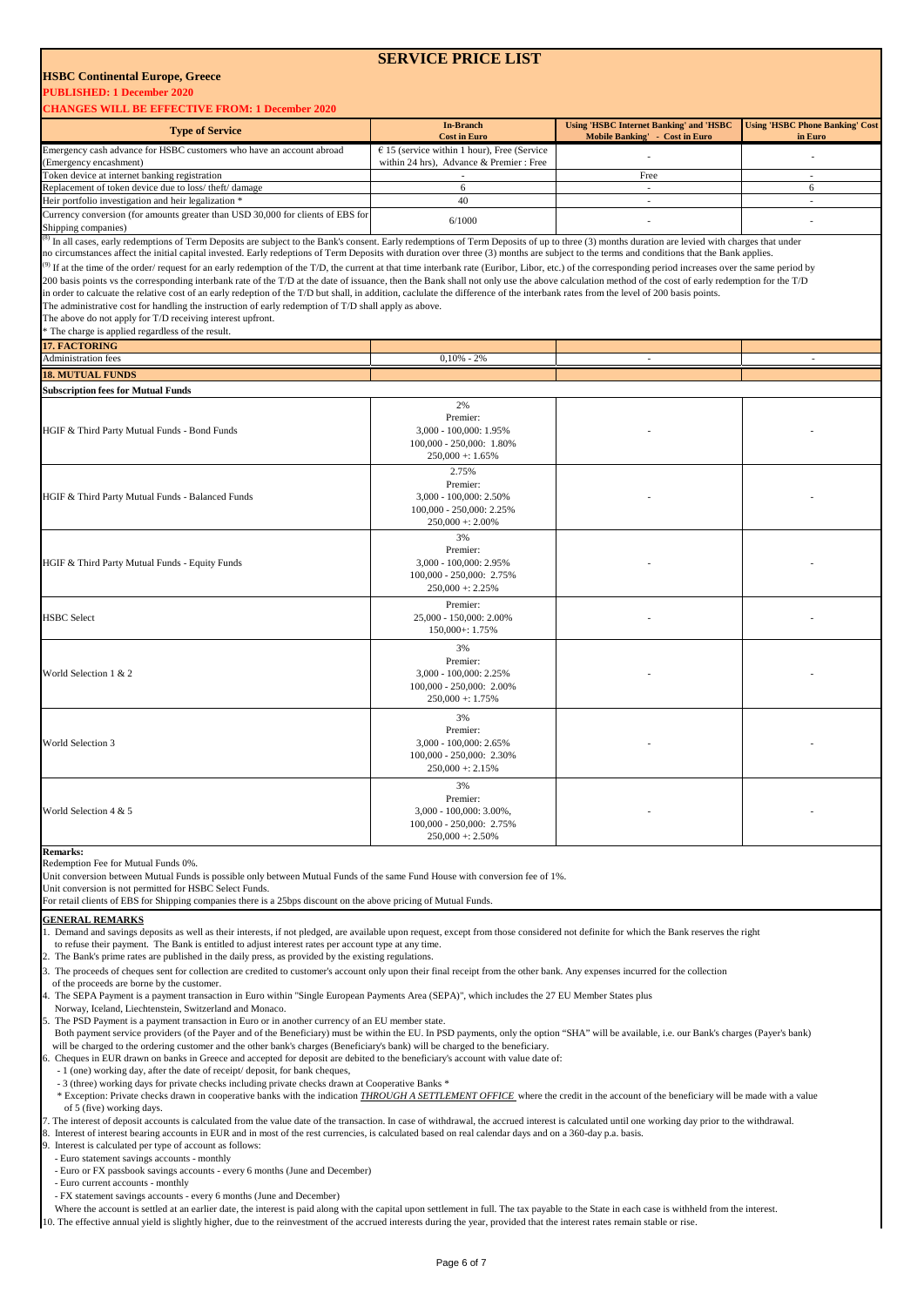## **SERVICE PRICE LIST**

## **HSBC Continental Europe, Greece**

**PUBLISHED: 1 December 2020**

| <b>CHANGES WILL BE EFFECTIVE FROM: 1 December 2020</b>                                                                                                                                                                                                                                                                                                                                                   |                                               |                                                                                  |                                                   |
|----------------------------------------------------------------------------------------------------------------------------------------------------------------------------------------------------------------------------------------------------------------------------------------------------------------------------------------------------------------------------------------------------------|-----------------------------------------------|----------------------------------------------------------------------------------|---------------------------------------------------|
| <b>Type of Service</b>                                                                                                                                                                                                                                                                                                                                                                                   | <b>In-Branch</b><br><b>Cost in Euro</b>       | <b>Using 'HSBC Internet Banking' and 'HSBC</b><br>Mobile Banking' - Cost in Euro | <b>Using 'HSBC Phone Banking' Cost</b><br>in Euro |
| Emergency cash advance for HSBC customers who have an account abroad                                                                                                                                                                                                                                                                                                                                     | $E$ 15 (service within 1 hour), Free (Service |                                                                                  |                                                   |
| (Emergency encashment)                                                                                                                                                                                                                                                                                                                                                                                   | within 24 hrs), Advance & Premier : Free      |                                                                                  |                                                   |
| Token device at internet banking registration<br>Replacement of token device due to loss/ theft/ damage                                                                                                                                                                                                                                                                                                  | 6                                             | Free<br>÷.                                                                       | ٠<br>6                                            |
| Heir portfolio investigation and heir legalization *                                                                                                                                                                                                                                                                                                                                                     | 40                                            | $\sim$                                                                           | ÷,                                                |
|                                                                                                                                                                                                                                                                                                                                                                                                          |                                               |                                                                                  |                                                   |
| Currency conversion (for amounts greater than USD 30,000 for clients of EBS for<br>Shipping companies)                                                                                                                                                                                                                                                                                                   | 6/1000                                        |                                                                                  |                                                   |
| <sup>5)</sup> In all cases, early redemptions of Term Deposits are subject to the Bank's consent. Early redemptions of Term Deposits of up to three (3) months duration are levied with charges that under<br>no circumstances affect the initial capital invested. Early redeptions of Term Deposits with duration over three (3) months are subject to the terms and conditions that the Bank applies. |                                               |                                                                                  |                                                   |
| <sup>(9)</sup> If at the time of the order/ request for an early redemption of the T/D, the current at that time interbank rate (Euribor, Libor, etc.) of the corresponding period increases over the same period by                                                                                                                                                                                     |                                               |                                                                                  |                                                   |
| 200 basis points vs the corresponding interbank rate of the T/D at the date of issuance, then the Bank shall not only use the above calculation method of the cost of early redemption for the T/D                                                                                                                                                                                                       |                                               |                                                                                  |                                                   |
| in order to calcuate the relative cost of an early redeption of the T/D but shall, in addition, caclulate the difference of the interbank rates from the level of 200 basis points.                                                                                                                                                                                                                      |                                               |                                                                                  |                                                   |
| The administrative cost for handling the instruction of early redemption of T/D shall apply as above.                                                                                                                                                                                                                                                                                                    |                                               |                                                                                  |                                                   |
| The above do not apply for T/D receiving interest upfront.                                                                                                                                                                                                                                                                                                                                               |                                               |                                                                                  |                                                   |
| * The charge is applied regardless of the result.                                                                                                                                                                                                                                                                                                                                                        |                                               |                                                                                  |                                                   |
| <b>17. FACTORING</b>                                                                                                                                                                                                                                                                                                                                                                                     |                                               |                                                                                  |                                                   |
| Administration fees                                                                                                                                                                                                                                                                                                                                                                                      | $0,10\% - 2\%$                                | $\sim$                                                                           | $\sim$                                            |
| <b>18. MUTUAL FUNDS</b>                                                                                                                                                                                                                                                                                                                                                                                  |                                               |                                                                                  |                                                   |
| <b>Subscription fees for Mutual Funds</b>                                                                                                                                                                                                                                                                                                                                                                |                                               |                                                                                  |                                                   |
|                                                                                                                                                                                                                                                                                                                                                                                                          | 2%                                            |                                                                                  |                                                   |
|                                                                                                                                                                                                                                                                                                                                                                                                          | Premier:                                      |                                                                                  |                                                   |
| HGIF & Third Party Mutual Funds - Bond Funds                                                                                                                                                                                                                                                                                                                                                             | 3,000 - 100,000: 1.95%                        |                                                                                  |                                                   |
|                                                                                                                                                                                                                                                                                                                                                                                                          | 100,000 - 250,000: 1.80%                      |                                                                                  |                                                   |
|                                                                                                                                                                                                                                                                                                                                                                                                          | $250,000 + 1.65%$                             |                                                                                  |                                                   |
|                                                                                                                                                                                                                                                                                                                                                                                                          | 2.75%                                         |                                                                                  |                                                   |
|                                                                                                                                                                                                                                                                                                                                                                                                          | Premier:                                      |                                                                                  |                                                   |
| HGIF & Third Party Mutual Funds - Balanced Funds                                                                                                                                                                                                                                                                                                                                                         | 3,000 - 100,000: 2.50%                        |                                                                                  |                                                   |
|                                                                                                                                                                                                                                                                                                                                                                                                          | 100,000 - 250,000: 2.25%                      |                                                                                  |                                                   |
|                                                                                                                                                                                                                                                                                                                                                                                                          | $250,000 +: 2.00\%$                           |                                                                                  |                                                   |
|                                                                                                                                                                                                                                                                                                                                                                                                          | 3%                                            |                                                                                  |                                                   |
|                                                                                                                                                                                                                                                                                                                                                                                                          | Premier:                                      |                                                                                  |                                                   |
| HGIF & Third Party Mutual Funds - Equity Funds                                                                                                                                                                                                                                                                                                                                                           | 3,000 - 100,000: 2.95%                        |                                                                                  |                                                   |
|                                                                                                                                                                                                                                                                                                                                                                                                          | 100,000 - 250,000: 2.75%                      |                                                                                  |                                                   |
|                                                                                                                                                                                                                                                                                                                                                                                                          | $250,000 + 2.25\%$                            |                                                                                  |                                                   |
|                                                                                                                                                                                                                                                                                                                                                                                                          | Premier:                                      |                                                                                  |                                                   |
| <b>HSBC</b> Select                                                                                                                                                                                                                                                                                                                                                                                       | 25,000 - 150,000: 2.00%                       |                                                                                  |                                                   |
|                                                                                                                                                                                                                                                                                                                                                                                                          | 150,000+: 1.75%                               |                                                                                  |                                                   |
|                                                                                                                                                                                                                                                                                                                                                                                                          |                                               |                                                                                  |                                                   |
|                                                                                                                                                                                                                                                                                                                                                                                                          | 3%                                            |                                                                                  |                                                   |
|                                                                                                                                                                                                                                                                                                                                                                                                          | Premier:                                      |                                                                                  |                                                   |
| World Selection 1 & 2                                                                                                                                                                                                                                                                                                                                                                                    | 3,000 - 100,000: 2.25%                        |                                                                                  |                                                   |
|                                                                                                                                                                                                                                                                                                                                                                                                          | 100,000 - 250,000: 2.00%                      |                                                                                  |                                                   |
|                                                                                                                                                                                                                                                                                                                                                                                                          | $250,000 + 1.75%$                             |                                                                                  |                                                   |
|                                                                                                                                                                                                                                                                                                                                                                                                          | 3%                                            |                                                                                  |                                                   |
|                                                                                                                                                                                                                                                                                                                                                                                                          | Premier:                                      |                                                                                  |                                                   |
| <b>World Selection 3</b>                                                                                                                                                                                                                                                                                                                                                                                 | 3,000 - 100,000: 2,65%                        |                                                                                  |                                                   |
|                                                                                                                                                                                                                                                                                                                                                                                                          | 100,000 - 250,000: 2.30%                      |                                                                                  |                                                   |
|                                                                                                                                                                                                                                                                                                                                                                                                          | $250,000 + 2.15%$                             |                                                                                  |                                                   |
|                                                                                                                                                                                                                                                                                                                                                                                                          | 3%                                            |                                                                                  |                                                   |
|                                                                                                                                                                                                                                                                                                                                                                                                          | Premier:                                      |                                                                                  |                                                   |
| World Selection 4 & 5                                                                                                                                                                                                                                                                                                                                                                                    | 3,000 - 100,000: 3.00%,                       |                                                                                  |                                                   |
|                                                                                                                                                                                                                                                                                                                                                                                                          | 100,000 - 250,000: 2.75%                      |                                                                                  |                                                   |
|                                                                                                                                                                                                                                                                                                                                                                                                          | $250,000 + 2.50\%$                            |                                                                                  |                                                   |
| <b>Remarks:</b>                                                                                                                                                                                                                                                                                                                                                                                          |                                               |                                                                                  |                                                   |

Redemption Fee for Mutual Funds 0%.

Unit conversion between Mutual Funds is possible only between Mutual Funds of the same Fund House with conversion fee of 1%.

Unit conversion is not permitted for HSBC Select Funds.

For retail clients of EBS for Shipping companies there is a 25bps discount on the above pricing of Mutual Funds.

#### **GENERAL REMARKS**

Demand and savings deposits as well as their interests, if not pledged, are available upon request, except from those considered not definite for which the Bank reserves the right

- to refuse their payment. The Bank is entitled to adjust interest rates per account type at any time.
- The Bank's prime rates are published in the daily press, as provided by the existing regulations.
- The proceeds of cheques sent for collection are credited to customer's account only upon their final receipt from the other bank. Any expenses incurred for the collection

of the proceeds are borne by the customer.

The SEPA Payment is a payment transaction in Euro within "Single European Payments Area (SEPA)", which includes the 27 EU Member States plus

Norway, Iceland, Liechtenstein, Switzerland and Monaco.

5. The PSD Payment is a payment transaction in Euro or in another currency of an EU member state.

 Both payment service providers (of the Payer and of the Beneficiary) must be within the EU. In PSD payments, only the option "SHA" will be available, i.e. our Bank's charges (Payer's bank) will be charged to the ordering customer and the other bank's charges (Beneficiary's bank) will be charged to the beneficiary.

6. Cheques in EUR drawn on banks in Greece and accepted for deposit are debited to the beneficiary's account with value date of:

- 1 (one) working day, after the date of receipt/ deposit, for bank cheques,

 - 3 (three) working days for private checks including private checks drawn at Cooperative Banks \* \* Exception: Private checks drawn in cooperative banks with the indication *THROUGH A SETTLEMENT OFFICE* where the credit in the account of the beneficiary will be made with a value of 5 (five) working days.

7. The interest of deposit accounts is calculated from the value date of the transaction. In case of withdrawal, the accrued interest is calculated until one working day prior to the withdrawal. Interest of interest bearing accounts in EUR and in most of the rest currencies, is calculated based on real calendar days and on a 360-day p.a. basis.

9. Interest is calculated per type of account as follows:

- Euro statement savings accounts - monthly

- Euro or FX passbook savings accounts every 6 months (June and December)
- Euro current accounts monthly
- FX statement savings accounts every 6 months (June and December)

 Where the account is settled at an earlier date, the interest is paid along with the capital upon settlement in full. The tax payable to the State in each case is withheld from the interest. 10. The effective annual yield is slightly higher, due to the reinvestment of the accrued interests during the year, provided that the interest rates remain stable or rise.